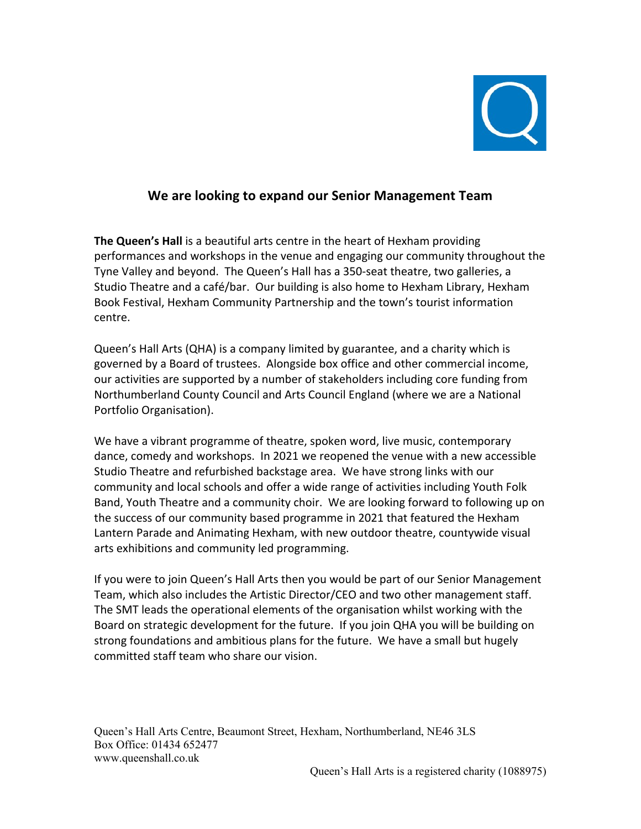

# **We are looking to expand our Senior Management Team**

**The Queen's Hall** is a beautiful arts centre in the heart of Hexham providing performances and workshops in the venue and engaging our community throughout the Tyne Valley and beyond. The Queen's Hall has a 350-seat theatre, two galleries, a Studio Theatre and a café/bar. Our building is also home to Hexham Library, Hexham Book Festival, Hexham Community Partnership and the town's tourist information centre.

Queen's Hall Arts (QHA) is a company limited by guarantee, and a charity which is governed by a Board of trustees. Alongside box office and other commercial income, our activities are supported by a number of stakeholders including core funding from Northumberland County Council and Arts Council England (where we are a National Portfolio Organisation).

We have a vibrant programme of theatre, spoken word, live music, contemporary dance, comedy and workshops. In 2021 we reopened the venue with a new accessible Studio Theatre and refurbished backstage area. We have strong links with our community and local schools and offer a wide range of activities including Youth Folk Band, Youth Theatre and a community choir. We are looking forward to following up on the success of our community based programme in 2021 that featured the Hexham Lantern Parade and Animating Hexham, with new outdoor theatre, countywide visual arts exhibitions and community led programming.

If you were to join Queen's Hall Arts then you would be part of our Senior Management Team, which also includes the Artistic Director/CEO and two other management staff. The SMT leads the operational elements of the organisation whilst working with the Board on strategic development for the future. If you join QHA you will be building on strong foundations and ambitious plans for the future. We have a small but hugely committed staff team who share our vision.

Queen's Hall Arts Centre, Beaumont Street, Hexham, Northumberland, NE46 3LS Box Office: 01434 652477 www.queenshall.co.uk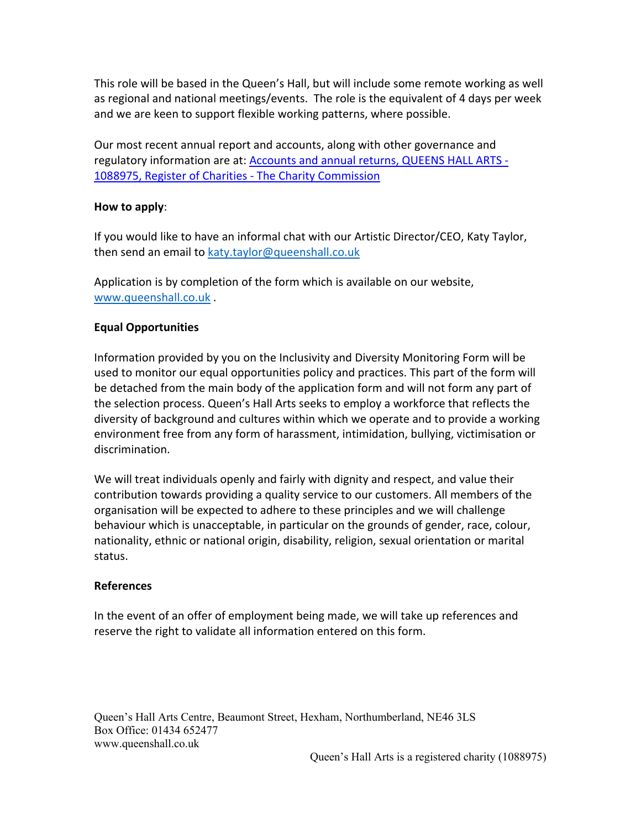This role will be based in the Queen's Hall, but will include some remote working as well as regional and national meetings/events. The role is the equivalent of 4 days per week and we are keen to support flexible working patterns, where possible.

Our most recent annual report and accounts, along with other governance and regulatory information are at: **Accounts and annual returns, QUEENS HALL ARTS -**1088975, Register of Charities - The Charity Commission

#### **How to apply**:

If you would like to have an informal chat with our Artistic Director/CEO, Katy Taylor, then send an email to katy.taylor@queenshall.co.uk

Application is by completion of the form which is available on our website, www.queenshall.co.uk .

## **Equal Opportunities**

Information provided by you on the Inclusivity and Diversity Monitoring Form will be used to monitor our equal opportunities policy and practices. This part of the form will be detached from the main body of the application form and will not form any part of the selection process. Queen's Hall Arts seeks to employ a workforce that reflects the diversity of background and cultures within which we operate and to provide a working environment free from any form of harassment, intimidation, bullying, victimisation or discrimination.

We will treat individuals openly and fairly with dignity and respect, and value their contribution towards providing a quality service to our customers. All members of the organisation will be expected to adhere to these principles and we will challenge behaviour which is unacceptable, in particular on the grounds of gender, race, colour, nationality, ethnic or national origin, disability, religion, sexual orientation or marital status.

#### **References**

In the event of an offer of employment being made, we will take up references and reserve the right to validate all information entered on this form.

Queen's Hall Arts Centre, Beaumont Street, Hexham, Northumberland, NE46 3LS Box Office: 01434 652477 www.queenshall.co.uk